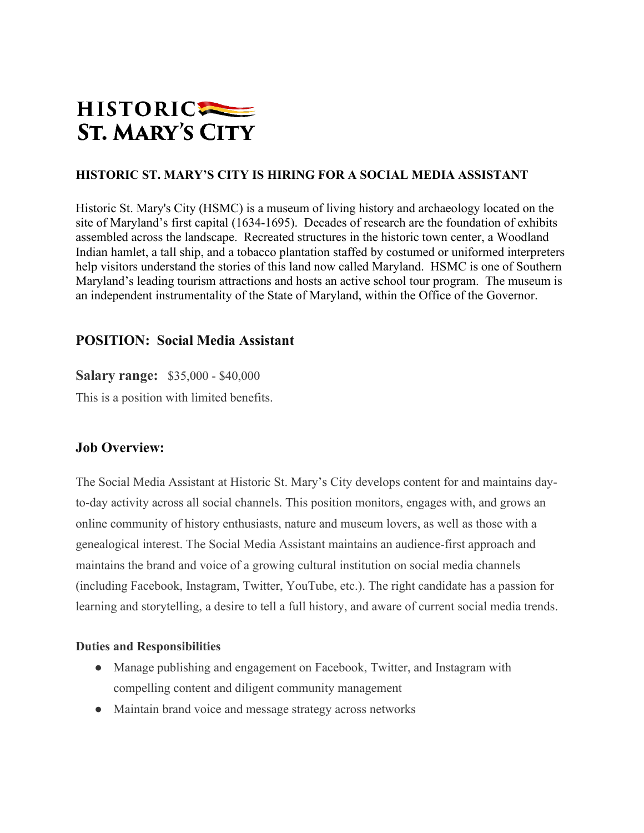

### **HISTORIC ST. MARY'S CITY IS HIRING FOR A SOCIAL MEDIA ASSISTANT**

Historic St. Mary's City (HSMC) is a museum of living history and archaeology located on the site of Maryland's first capital (1634-1695). Decades of research are the foundation of exhibits assembled across the landscape. Recreated structures in the historic town center, a Woodland Indian hamlet, a tall ship, and a tobacco plantation staffed by costumed or uniformed interpreters help visitors understand the stories of this land now called Maryland. HSMC is one of Southern Maryland's leading tourism attractions and hosts an active school tour program. The museum is an independent instrumentality of the State of Maryland, within the Office of the Governor.

# **POSITION: Social Media Assistant**

**Salary range:** \$35,000 - \$40,000

This is a position with limited benefits.

### **Job Overview:**

The Social Media Assistant at Historic St. Mary's City develops content for and maintains dayto-day activity across all social channels. This position monitors, engages with, and grows an online community of history enthusiasts, nature and museum lovers, as well as those with a genealogical interest. The Social Media Assistant maintains an audience-first approach and maintains the brand and voice of a growing cultural institution on social media channels (including Facebook, Instagram, Twitter, YouTube, etc.). The right candidate has a passion for learning and storytelling, a desire to tell a full history, and aware of current social media trends.

#### **Duties and Responsibilities**

- Manage publishing and engagement on Facebook, Twitter, and Instagram with compelling content and diligent community management
- Maintain brand voice and message strategy across networks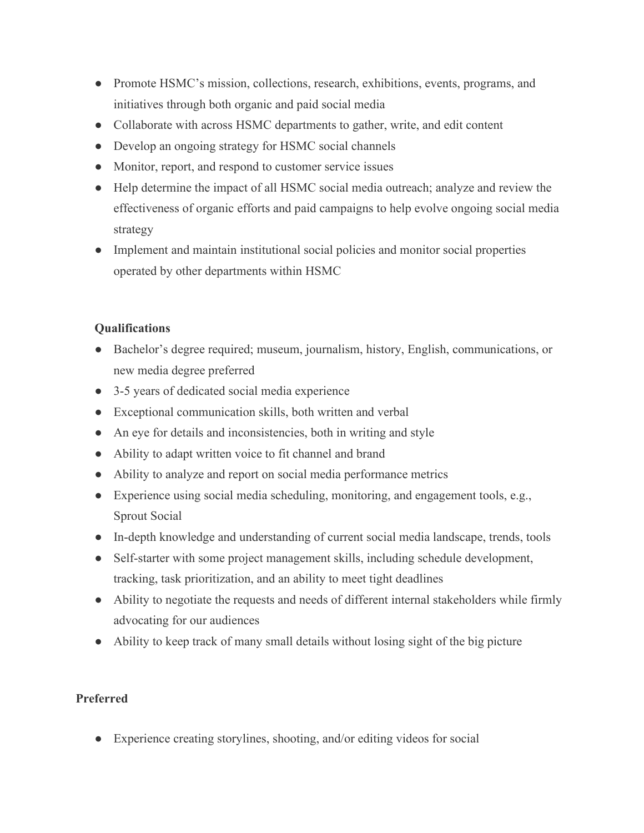- Promote HSMC's mission, collections, research, exhibitions, events, programs, and initiatives through both organic and paid social media
- Collaborate with across HSMC departments to gather, write, and edit content
- Develop an ongoing strategy for HSMC social channels
- Monitor, report, and respond to customer service issues
- Help determine the impact of all HSMC social media outreach; analyze and review the effectiveness of organic efforts and paid campaigns to help evolve ongoing social media strategy
- Implement and maintain institutional social policies and monitor social properties operated by other departments within HSMC

# **Qualifications**

- Bachelor's degree required; museum, journalism, history, English, communications, or new media degree preferred
- 3-5 years of dedicated social media experience
- Exceptional communication skills, both written and verbal
- An eye for details and inconsistencies, both in writing and style
- Ability to adapt written voice to fit channel and brand
- Ability to analyze and report on social media performance metrics
- Experience using social media scheduling, monitoring, and engagement tools, e.g., Sprout Social
- In-depth knowledge and understanding of current social media landscape, trends, tools
- Self-starter with some project management skills, including schedule development, tracking, task prioritization, and an ability to meet tight deadlines
- Ability to negotiate the requests and needs of different internal stakeholders while firmly advocating for our audiences
- Ability to keep track of many small details without losing sight of the big picture

# **Preferred**

● Experience creating storylines, shooting, and/or editing videos for social